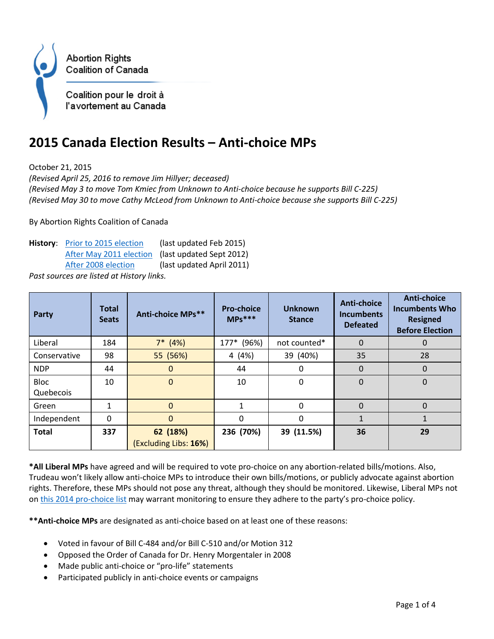

## **2015 Canada Election Results – Anti-choice MPs**

October 21, 2015

*(Revised April 25, 2016 to remove Jim Hillyer; deceased) (Revised May 3 to move Tom Kmiec from Unknown to Anti-choice because he supports Bill C-225) (Revised May 30 to move Cathy McLeod from Unknown to Anti-choice because she supports Bill C-225)*

By Abortion Rights Coalition of Canada

History: **[Prior to 2015 election](http://www.arcc-cdac.ca/action/list-antichoice-mps-current.html)** (last updated Feb 2015) [After May 2011 election](http://www.arcc-cdac.ca/action/list-antichoice-mps-may-11.html) (last updated Sept 2012) [After 2008 election](http://www.arcc-cdac.ca/action/list-antichoice-mps-apr-11.html) (last updated April 2011)

*Past sources are listed at History links.* 

| Party                    | <b>Total</b><br><b>Seats</b> | Anti-choice MPs**                 | <b>Pro-choice</b><br>$MPs***$ | <b>Unknown</b><br><b>Stance</b> | <b>Anti-choice</b><br><b>Incumbents</b><br><b>Defeated</b> | <b>Anti-choice</b><br><b>Incumbents Who</b><br><b>Resigned</b><br><b>Before Election</b> |
|--------------------------|------------------------------|-----------------------------------|-------------------------------|---------------------------------|------------------------------------------------------------|------------------------------------------------------------------------------------------|
| Liberal                  | 184                          | $7*$ (4%)                         | $177*$<br>(96%)               | not counted*                    | $\Omega$                                                   | 0                                                                                        |
| Conservative             | 98                           | 55 (56%)                          | 4 (4%)                        | 39 (40%)                        | 35                                                         | 28                                                                                       |
| <b>NDP</b>               | 44                           | $\mathbf 0$                       | 44                            | 0                               | $\Omega$                                                   | $\mathbf 0$                                                                              |
| <b>Bloc</b><br>Quebecois | 10                           | $\mathbf 0$                       | 10                            | 0                               | $\Omega$                                                   | $\mathbf 0$                                                                              |
| Green                    | $\mathbf{1}$                 | $\overline{0}$                    | 1                             | $\Omega$                        | $\Omega$                                                   | $\mathbf 0$                                                                              |
| Independent              | $\Omega$                     | 0                                 | $\mathbf{0}$                  | $\Omega$                        |                                                            |                                                                                          |
| <b>Total</b>             | 337                          | 62 (18%)<br>(Excluding Libs: 16%) | 236 (70%)                     | 39 (11.5%)                      | 36                                                         | 29                                                                                       |

**\*All Liberal MPs** have agreed and will be required to vote pro-choice on any abortion-related bills/motions. Also, Trudeau won't likely allow anti-choice MPs to introduce their own bills/motions, or publicly advocate against abortion rights. Therefore, these MPs should not pose any threat, although they should be monitored. Likewise, Liberal MPs not on [this 2014 pro-choice list](http://www.arcc-cdac.ca/action/prochoice-unknown-mps-current.html#pclibs) may warrant monitoring to ensure they adhere to the party's pro-choice policy.

**\*\*Anti-choice MPs** are designated as anti-choice based on at least one of these reasons:

- Voted in favour of Bill C-484 and/or Bill C-510 and/or Motion 312
- Opposed the Order of Canada for Dr. Henry Morgentaler in 2008
- Made public anti-choice or "pro-life" statements
- Participated publicly in anti-choice events or campaigns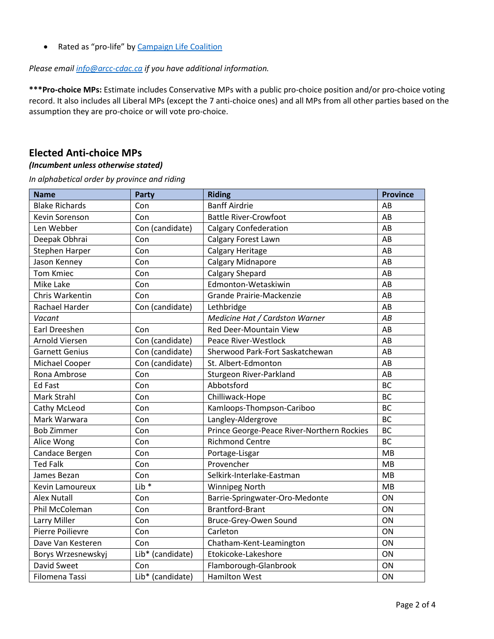• Rated as "pro-life" by [Campaign Life Coalition](http://www.campaignlifecoalition.com/index.php?p=Federal_Candidate_Evaluations)

*Please email [info@arcc-cdac.ca](mailto:info@arcc-cdac.ca) if you have additional information.*

**\*\*\*Pro-choice MPs:** Estimate includes Conservative MPs with a public pro-choice position and/or pro-choice voting record. It also includes all Liberal MPs (except the 7 anti-choice ones) and all MPs from all other parties based on the assumption they are pro-choice or will vote pro-choice.

## **Elected Anti-choice MPs**

## *(Incumbent unless otherwise stated)*

*In alphabetical order by province and riding*

| <b>Name</b>           | <b>Party</b>                                      | <b>Riding</b>                   | <b>Province</b> |
|-----------------------|---------------------------------------------------|---------------------------------|-----------------|
| <b>Blake Richards</b> | Con                                               | <b>Banff Airdrie</b>            | AB              |
| Kevin Sorenson        | Con                                               | <b>Battle River-Crowfoot</b>    | AB              |
| Len Webber            | Con (candidate)                                   | <b>Calgary Confederation</b>    | AB              |
| Deepak Obhrai         | Con                                               | Calgary Forest Lawn             | AB              |
| Stephen Harper        | Con                                               | Calgary Heritage                | AB              |
| Jason Kenney          | Con                                               | Calgary Midnapore               | AB              |
| <b>Tom Kmiec</b>      | Con                                               | Calgary Shepard                 | AB              |
| Mike Lake             | Edmonton-Wetaskiwin<br>Con                        |                                 | AB              |
| Chris Warkentin       | Con                                               | Grande Prairie-Mackenzie        | AB              |
| Rachael Harder        | Con (candidate)                                   | Lethbridge                      | AB              |
| Vacant                |                                                   | Medicine Hat / Cardston Warner  | AB              |
| Earl Dreeshen         | Con                                               | Red Deer-Mountain View          | AB              |
| <b>Arnold Viersen</b> | Con (candidate)                                   | <b>Peace River-Westlock</b>     | AB              |
| <b>Garnett Genius</b> | Con (candidate)                                   | Sherwood Park-Fort Saskatchewan | AB              |
| Michael Cooper        | Con (candidate)                                   | St. Albert-Edmonton             | AB              |
| Rona Ambrose          | Con                                               | Sturgeon River-Parkland         | AB              |
| <b>Ed Fast</b>        | Con                                               | Abbotsford                      | <b>BC</b>       |
| Mark Strahl           | Con<br>Chilliwack-Hope                            |                                 | <b>BC</b>       |
| Cathy McLeod          | Con                                               | Kamloops-Thompson-Cariboo       |                 |
| Mark Warwara          | Langley-Aldergrove<br>Con                         |                                 | <b>BC</b>       |
| <b>Bob Zimmer</b>     | Con<br>Prince George-Peace River-Northern Rockies |                                 | <b>BC</b>       |
| Alice Wong            | Con<br><b>Richmond Centre</b>                     |                                 | <b>BC</b>       |
| Candace Bergen        | Con                                               | Portage-Lisgar                  | MB              |
| <b>Ted Falk</b>       | Con                                               | Provencher                      | MB              |
| James Bezan           | Con                                               | Selkirk-Interlake-Eastman       | MB              |
| Kevin Lamoureux       | $Lib*$                                            | <b>Winnipeg North</b>           | MB              |
| <b>Alex Nutall</b>    | Con                                               | Barrie-Springwater-Oro-Medonte  | ON              |
| Phil McColeman        | Con                                               | <b>Brantford-Brant</b>          | ON              |
| Larry Miller          | Con                                               | Bruce-Grey-Owen Sound           | ON              |
| Pierre Poilievre      | Con                                               | Carleton                        | ON              |
| Dave Van Kesteren     | Con                                               | Chatham-Kent-Leamington         | ON              |
| Borys Wrzesnewskyj    | Lib* (candidate)                                  | Etokicoke-Lakeshore             | ON              |
| David Sweet<br>Con    |                                                   | Flamborough-Glanbrook           | ON              |
| Filomena Tassi        | Lib* (candidate)                                  | <b>Hamilton West</b>            | ON              |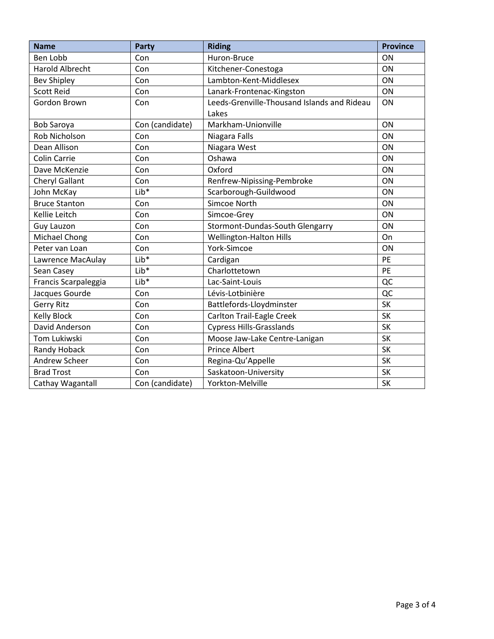| <b>Name</b>                                          | <b>Party</b>                  | <b>Riding</b>                               | <b>Province</b> |
|------------------------------------------------------|-------------------------------|---------------------------------------------|-----------------|
| <b>Ben Lobb</b>                                      | Con                           | Huron-Bruce                                 | ON              |
| <b>Harold Albrecht</b><br>Con<br>Kitchener-Conestoga |                               |                                             | ON              |
| <b>Bev Shipley</b>                                   | Lambton-Kent-Middlesex<br>Con |                                             | ON              |
| <b>Scott Reid</b>                                    | Con                           | Lanark-Frontenac-Kingston                   | ON              |
| Gordon Brown                                         | Con                           | Leeds-Grenville-Thousand Islands and Rideau | ON              |
|                                                      |                               | Lakes                                       |                 |
| <b>Bob Saroya</b>                                    | Con (candidate)               | Markham-Unionville                          | ON              |
| <b>Rob Nicholson</b>                                 | Con                           | Niagara Falls                               | ON              |
| Dean Allison                                         | Con                           | Niagara West                                | ON              |
| Colin Carrie                                         | Con                           | Oshawa                                      | ON              |
| Dave McKenzie                                        | Con                           | Oxford                                      | ON              |
| Cheryl Gallant                                       | Con                           | Renfrew-Nipissing-Pembroke                  | ON              |
| John McKay                                           | Lib <sup>*</sup>              | Scarborough-Guildwood                       | ON              |
| <b>Bruce Stanton</b>                                 | Con                           | Simcoe North                                | ON              |
| Kellie Leitch                                        | Con                           | Simcoe-Grey                                 | ON              |
| <b>Guy Lauzon</b>                                    | Con                           | Stormont-Dundas-South Glengarry             | ON              |
| Michael Chong                                        | Con                           | Wellington-Halton Hills                     | On              |
| Peter van Loan                                       | Con                           | York-Simcoe                                 | ON              |
| Lawrence MacAulay                                    | Lib <sup>*</sup>              | Cardigan                                    | PE              |
| Sean Casey                                           | Lib <sup>*</sup>              | Charlottetown                               | PE              |
| Francis Scarpaleggia                                 | $Lib*$                        | Lac-Saint-Louis                             | QC              |
| Jacques Gourde                                       | Con                           | Lévis-Lotbinière                            | QC              |
| <b>Gerry Ritz</b>                                    | Con                           | Battlefords-Lloydminster                    | <b>SK</b>       |
| Kelly Block                                          | Con                           | Carlton Trail-Eagle Creek                   | <b>SK</b>       |
| David Anderson                                       | Con                           | <b>Cypress Hills-Grasslands</b>             | <b>SK</b>       |
| Tom Lukiwski                                         | Con                           | Moose Jaw-Lake Centre-Lanigan               | <b>SK</b>       |
| Randy Hoback                                         | Con                           | <b>Prince Albert</b>                        | <b>SK</b>       |
| <b>Andrew Scheer</b>                                 | Con                           | Regina-Qu'Appelle                           | <b>SK</b>       |
| <b>Brad Trost</b>                                    | Con                           | Saskatoon-University                        | SK              |
| Cathay Wagantall                                     | Con (candidate)               | Yorkton-Melville                            | <b>SK</b>       |